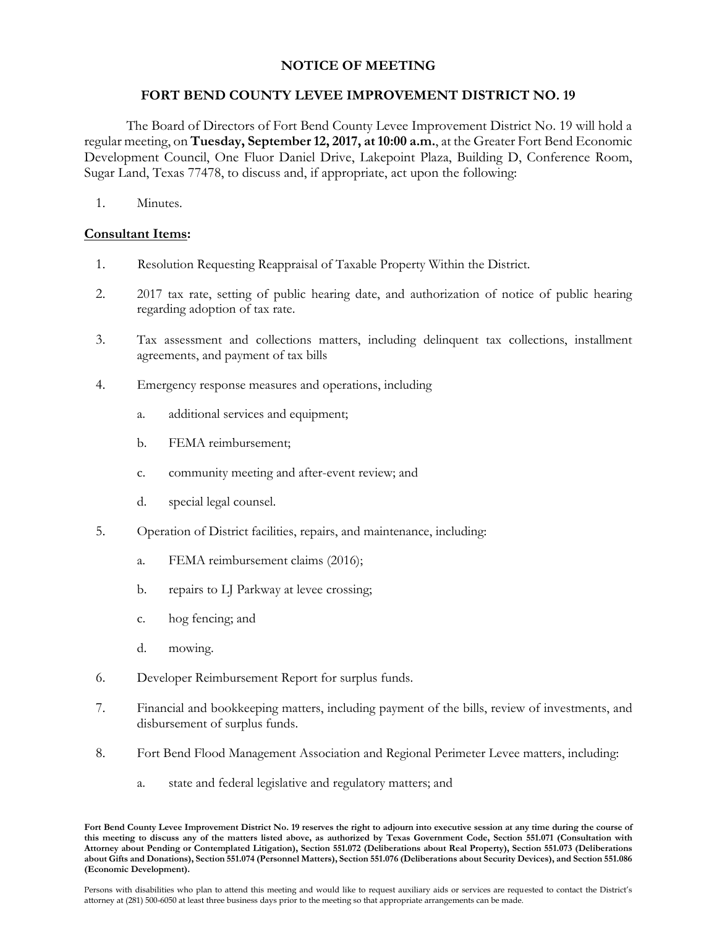## **NOTICE OF MEETING**

## **FORT BEND COUNTY LEVEE IMPROVEMENT DISTRICT NO. 19**

The Board of Directors of Fort Bend County Levee Improvement District No. 19 will hold a regular meeting, on **Tuesday, September 12, 2017, at 10:00 a.m.**, at the Greater Fort Bend Economic Development Council, One Fluor Daniel Drive, Lakepoint Plaza, Building D, Conference Room, Sugar Land, Texas 77478, to discuss and, if appropriate, act upon the following:

1. Minutes.

## **Consultant Items:**

- 1. Resolution Requesting Reappraisal of Taxable Property Within the District.
- 2. 2017 tax rate, setting of public hearing date, and authorization of notice of public hearing regarding adoption of tax rate.
- 3. Tax assessment and collections matters, including delinquent tax collections, installment agreements, and payment of tax bills
- 4. Emergency response measures and operations, including
	- a. additional services and equipment;
	- b. FEMA reimbursement;
	- c. community meeting and after-event review; and
	- d. special legal counsel.
- 5. Operation of District facilities, repairs, and maintenance, including:
	- a. FEMA reimbursement claims (2016);
	- b. repairs to LJ Parkway at levee crossing;
	- c. hog fencing; and
	- d. mowing.
- 6. Developer Reimbursement Report for surplus funds.
- 7. Financial and bookkeeping matters, including payment of the bills, review of investments, and disbursement of surplus funds.
- 8. Fort Bend Flood Management Association and Regional Perimeter Levee matters, including:
	- a. state and federal legislative and regulatory matters; and

**Fort Bend County Levee Improvement District No. 19 reserves the right to adjourn into executive session at any time during the course of this meeting to discuss any of the matters listed above, as authorized by Texas Government Code, Section 551.071 (Consultation with Attorney about Pending or Contemplated Litigation), Section 551.072 (Deliberations about Real Property), Section 551.073 (Deliberations about Gifts and Donations), Section 551.074 (Personnel Matters), Section 551.076 (Deliberations about Security Devices), and Section 551.086 (Economic Development).**